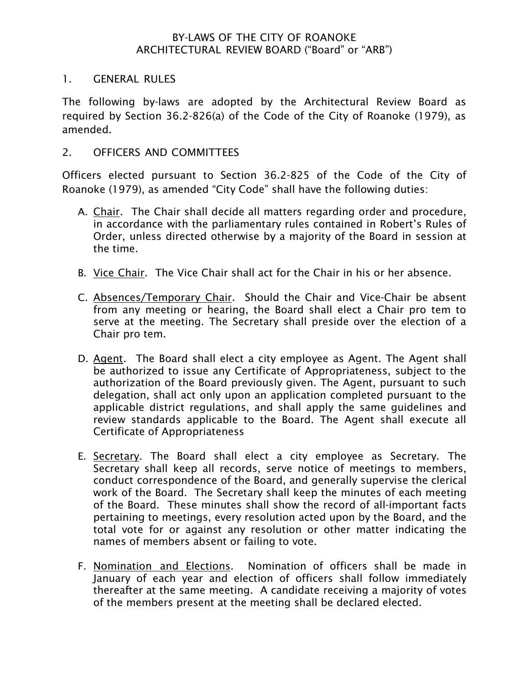#### BY-LAWS OF THE CITY OF ROANOKE ARCHITECTURAL REVIEW BOARD ("Board" or "ARB")

#### 1. GENERAL RULES

The following by-laws are adopted by the Architectural Review Board as required by Section 36.2-826(a) of the Code of the City of Roanoke (1979), as amended.

#### 2. OFFICERS AND COMMITTEES

Officers elected pursuant to Section 36.2-825 of the Code of the City of Roanoke (1979), as amended "City Code" shall have the following duties:

- A. Chair. The Chair shall decide all matters regarding order and procedure, in accordance with the parliamentary rules contained in Robert's Rules of Order, unless directed otherwise by a majority of the Board in session at the time.
- B. Vice Chair. The Vice Chair shall act for the Chair in his or her absence.
- C. Absences/Temporary Chair. Should the Chair and Vice-Chair be absent from any meeting or hearing, the Board shall elect a Chair pro tem to serve at the meeting. The Secretary shall preside over the election of a Chair pro tem.
- D. Agent. The Board shall elect a city employee as Agent. The Agent shall be authorized to issue any Certificate of Appropriateness, subject to the authorization of the Board previously given. The Agent, pursuant to such delegation, shall act only upon an application completed pursuant to the applicable district regulations, and shall apply the same guidelines and review standards applicable to the Board. The Agent shall execute all Certificate of Appropriateness
- E. Secretary. The Board shall elect a city employee as Secretary. The Secretary shall keep all records, serve notice of meetings to members, conduct correspondence of the Board, and generally supervise the clerical work of the Board. The Secretary shall keep the minutes of each meeting of the Board. These minutes shall show the record of all-important facts pertaining to meetings, every resolution acted upon by the Board, and the total vote for or against any resolution or other matter indicating the names of members absent or failing to vote.
- F. Nomination and Elections. Nomination of officers shall be made in January of each year and election of officers shall follow immediately thereafter at the same meeting. A candidate receiving a majority of votes of the members present at the meeting shall be declared elected.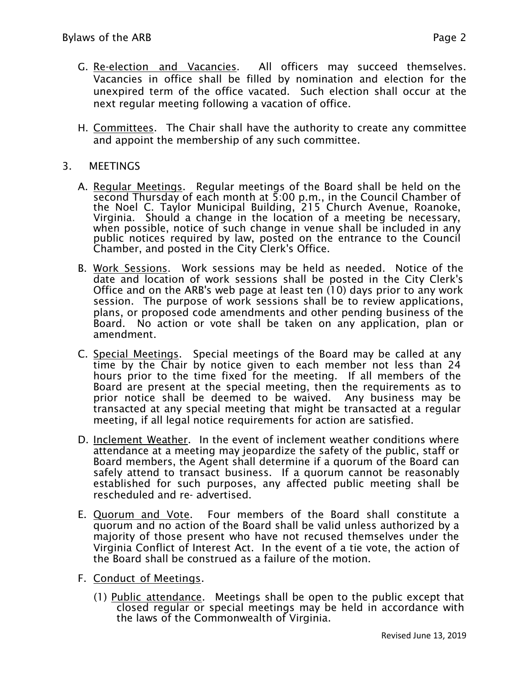- G. Re-election and Vacancies. All officers may succeed themselves. Vacancies in office shall be filled by nomination and election for the unexpired term of the office vacated. Such election shall occur at the next regular meeting following a vacation of office.
- H. Committees. The Chair shall have the authority to create any committee and appoint the membership of any such committee.

#### 3. MEETINGS

- A. Regular Meetings. Regular meetings of the Board shall be held on the second Thursday of each month at 5:00 p.m., in the Council Chamber of the Noel C. Taylor Municipal Building, 215 Church Avenue, Roanoke, Virginia. Should a change in the location of a meeting be necessary, when possible, notice of such change in venue shall be included in any public notices required by law, posted on the entrance to the Council Chamber, and posted in the City Clerk's Office.
- B. Work Sessions. Work sessions may be held as needed. Notice of the date and location of work sessions shall be posted in the City Clerk's Office and on the ARB's web page at least ten (10) days prior to any work session. The purpose of work sessions shall be to review applications, plans, or proposed code amendments and other pending business of the Board. No action or vote shall be taken on any application, plan or amendment.
- C. Special Meetings. Special meetings of the Board may be called at any time by the Chair by notice given to each member not less than 24 hours prior to the time fixed for the meeting. If all members of the Board are present at the special meeting, then the requirements as to prior notice shall be deemed to be waived. Any business may be transacted at any special meeting that might be transacted at a regular meeting, if all legal notice requirements for action are satisfied.
- D. Inclement Weather. In the event of inclement weather conditions where attendance at a meeting may jeopardize the safety of the public, staff or Board members, the Agent shall determine if a quorum of the Board can safely attend to transact business. If a quorum cannot be reasonably established for such purposes, any affected public meeting shall be rescheduled and re- advertised.
- E. Quorum and Vote. Four members of the Board shall constitute a quorum and no action of the Board shall be valid unless authorized by a majority of those present who have not recused themselves under the Virginia Conflict of Interest Act. In the event of a tie vote, the action of the Board shall be construed as a failure of the motion.
- F. Conduct of Meetings.
	- (1) Public attendance. Meetings shall be open to the public except that closed regular or special meetings may be held in accordance with the laws of the Commonwealth of Virginia.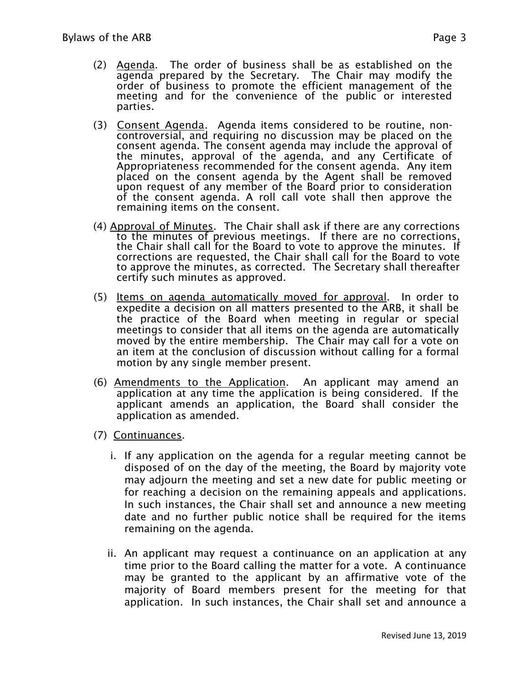- (2) Agenda. The order of business shall be as established on the agenda prepared by the Secretary. The Chair may modify the order of business to promote the efficient management of the meeting and for the convenience of the public or interested parties.
- (3) Consent Agenda. Agenda items considered to be routine, noncontroversial, and requiring no discussion may be placed on the consent agenda. The consent agenda may include the approval of the minutes, approval of the agenda, and any Certificate of Appropriateness recommended for the consent agenda. Any item placed on the consent agenda by the Agent shall be removed upon request of any member of the Board prior to consideration of the consent agenda. A roll call vote shall then approve the remaining items on the consent.
- (4) Approval of Minutes. The Chair shall ask if there are any corrections to the minutes of previous meetings. If there are no corrections, the Chair shall call for the Board to vote to approve the minutes. If corrections are requested, the Chair shall call for the Board to vote to approve the minutes, as corrected. The Secretary shall thereafter certify such minutes as approved.
- (5) Items on agenda automatically moved for approval. In order to expedite a decision on all matters presented to the ARB, it shall be the practice of the Board when meeting in regular or special meetings to consider that all items on the agenda are automatically moved by the entire membership. The Chair may call for a vote on an item at the conclusion of discussion without calling for a formal motion by any single member present.
- (6) Amendments to the Application. An applicant may amend an application at any time the application is being considered. If the applicant amends an application, the Board shall consider the application as amended.
- (7) Continuances.
	- i. If any application on the agenda for a regular meeting cannot be disposed of on the day of the meeting, the Board by majority vote may adjourn the meeting and set a new date for public meeting or for reaching a decision on the remaining appeals and applications. In such instances, the Chair shall set and announce a new meeting date and no further public notice shall be required for the items remaining on the agenda.
	- ii. An applicant may request a continuance on an application at any time prior to the Board calling the matter for a vote. A continuance may be granted to the applicant by an affirmative vote of the majority of Board members present for the meeting for that application. In such instances, the Chair shall set and announce a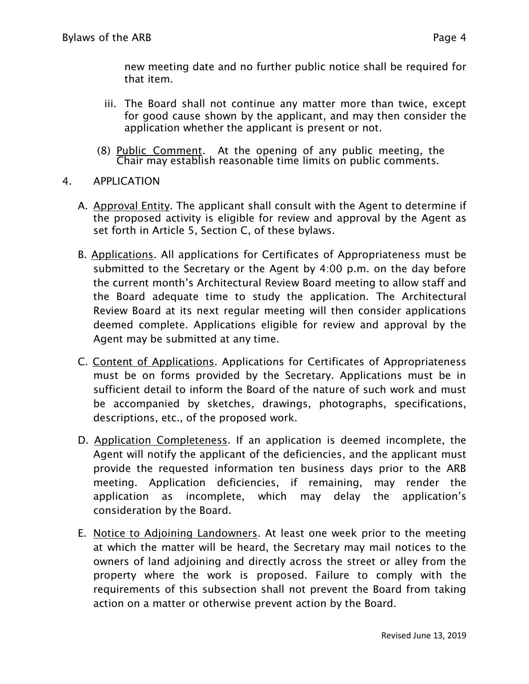new meeting date and no further public notice shall be required for that item.

- iii. The Board shall not continue any matter more than twice, except for good cause shown by the applicant, and may then consider the application whether the applicant is present or not.
- (8) Public Comment. At the opening of any public meeting, the Chair may establish reasonable time limits on public comments.
- 4. APPLICATION
	- A. Approval Entity. The applicant shall consult with the Agent to determine if the proposed activity is eligible for review and approval by the Agent as set forth in Article 5, Section C, of these bylaws.
	- B. Applications. All applications for Certificates of Appropriateness must be submitted to the Secretary or the Agent by 4:00 p.m. on the day before the current month's Architectural Review Board meeting to allow staff and the Board adequate time to study the application. The Architectural Review Board at its next regular meeting will then consider applications deemed complete. Applications eligible for review and approval by the Agent may be submitted at any time.
	- C. Content of Applications. Applications for Certificates of Appropriateness must be on forms provided by the Secretary. Applications must be in sufficient detail to inform the Board of the nature of such work and must be accompanied by sketches, drawings, photographs, specifications, descriptions, etc., of the proposed work.
	- D. Application Completeness. If an application is deemed incomplete, the Agent will notify the applicant of the deficiencies, and the applicant must provide the requested information ten business days prior to the ARB meeting. Application deficiencies, if remaining, may render the application as incomplete, which may delay the application's consideration by the Board.
	- E. Notice to Adjoining Landowners. At least one week prior to the meeting at which the matter will be heard, the Secretary may mail notices to the owners of land adjoining and directly across the street or alley from the property where the work is proposed. Failure to comply with the requirements of this subsection shall not prevent the Board from taking action on a matter or otherwise prevent action by the Board.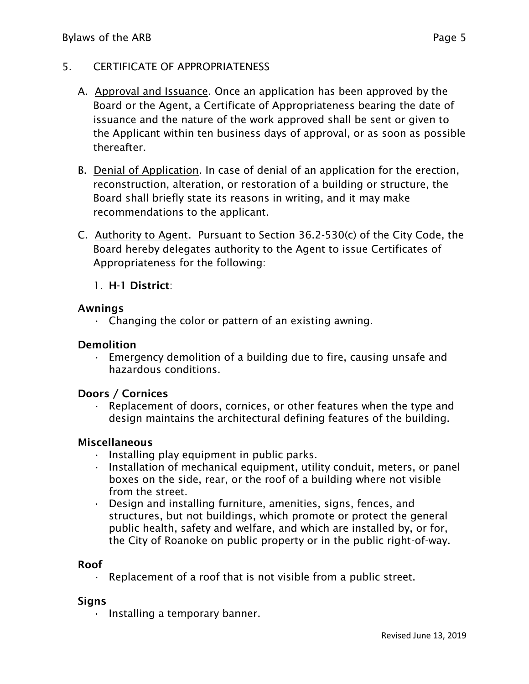### 5. CERTIFICATE OF APPROPRIATENESS

- A. Approval and Issuance. Once an application has been approved by the Board or the Agent, a Certificate of Appropriateness bearing the date of issuance and the nature of the work approved shall be sent or given to the Applicant within ten business days of approval, or as soon as possible thereafter.
- B. Denial of Application. In case of denial of an application for the erection, reconstruction, alteration, or restoration of a building or structure, the Board shall briefly state its reasons in writing, and it may make recommendations to the applicant.
- C. Authority to Agent. Pursuant to Section 36.2-530(c) of the City Code, the Board hereby delegates authority to the Agent to issue Certificates of Appropriateness for the following:

### 1. **H-1 District**:

#### **Awnings**

 $\cdot$  Changing the color or pattern of an existing awning.

#### **Demolition**

 $\cdot$  Emergency demolition of a building due to fire, causing unsafe and hazardous conditions.

#### **Doors / Cornices**

• Replacement of doors, cornices, or other features when the type and design maintains the architectural defining features of the building.

#### **Miscellaneous**

- Installing play equipment in public parks.
- Installation of mechanical equipment, utility conduit, meters, or panel boxes on the side, rear, or the roof of a building where not visible from the street.
- Design and installing furniture, amenities, signs, fences, and structures, but not buildings, which promote or protect the general public health, safety and welfare, and which are installed by, or for, the City of Roanoke on public property or in the public right-of-way.

#### **Roof**

 $\cdot$  Replacement of a roof that is not visible from a public street.

#### **Signs**

• Installing a temporary banner.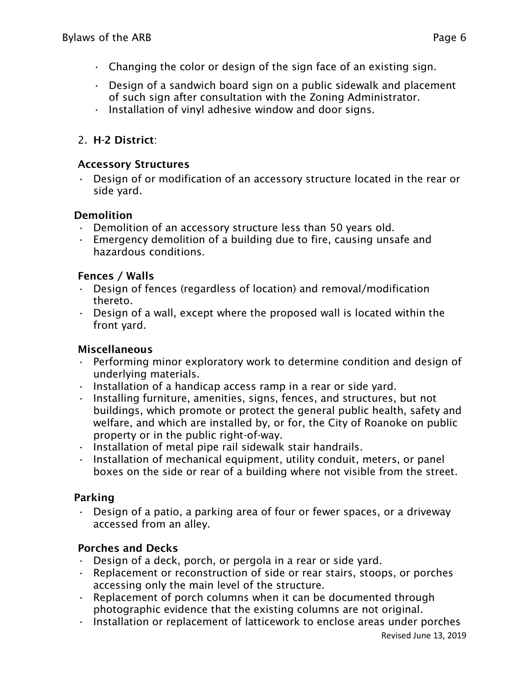- $\cdot$  Changing the color or design of the sign face of an existing sign.
- $\cdot$  Design of a sandwich board sign on a public sidewalk and placement of such sign after consultation with the Zoning Administrator.
- Installation of vinyl adhesive window and door signs.

# 2. **H-2 District**:

## **Accessory Structures**

• Design of or modification of an accessory structure located in the rear or side yard.

## **Demolition**

- Demolition of an accessory structure less than 50 years old.
- $\cdot$  Emergency demolition of a building due to fire, causing unsafe and hazardous conditions.

## **Fences / Walls**

- Design of fences (regardless of location) and removal/modification thereto.
- $\cdot$  Design of a wall, except where the proposed wall is located within the front yard.

# **Miscellaneous**

- Performing minor exploratory work to determine condition and design of underlying materials.
- Installation of a handicap access ramp in a rear or side yard.
- Installing furniture, amenities, signs, fences, and structures, but not buildings, which promote or protect the general public health, safety and welfare, and which are installed by, or for, the City of Roanoke on public property or in the public right-of-way.
- Installation of metal pipe rail sidewalk stair handrails.
- Installation of mechanical equipment, utility conduit, meters, or panel boxes on the side or rear of a building where not visible from the street.

# **Parking**

• Design of a patio, a parking area of four or fewer spaces, or a driveway accessed from an alley.

# **Porches and Decks**

- Design of a deck, porch, or pergola in a rear or side yard.
- Replacement or reconstruction of side or rear stairs, stoops, or porches accessing only the main level of the structure.
- $\cdot$  Replacement of porch columns when it can be documented through photographic evidence that the existing columns are not original.
- Installation or replacement of latticework to enclose areas under porches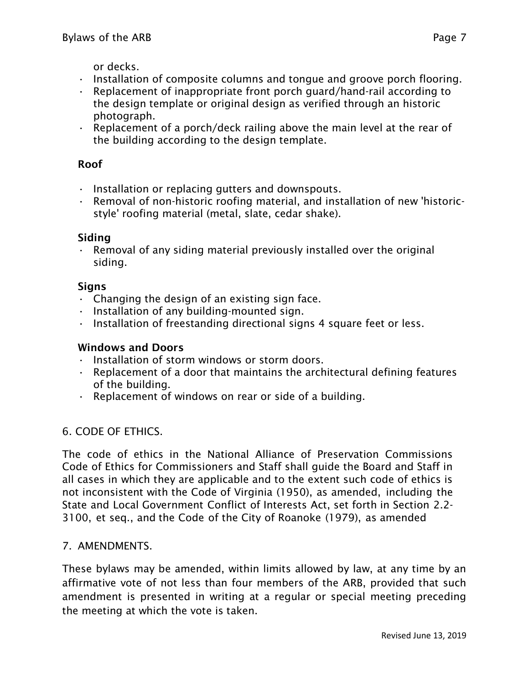or decks.

- Installation of composite columns and tongue and groove porch flooring.
- Replacement of inappropriate front porch guard/hand-rail according to the design template or original design as verified through an historic photograph.
- $\cdot$  Replacement of a porch/deck railing above the main level at the rear of the building according to the design template.

## **Roof**

- Installation or replacing gutters and downspouts.
- Removal of non-historic roofing material, and installation of new 'historicstyle' roofing material (metal, slate, cedar shake).

## **Siding**

 $\cdot$  Removal of any siding material previously installed over the original siding.

### **Signs**

- $\cdot$  Changing the design of an existing sign face.
- Installation of any building-mounted sign.
- Installation of freestanding directional signs 4 square feet or less.

### **Windows and Doors**

- Installation of storm windows or storm doors.
- Replacement of a door that maintains the architectural defining features of the building.
- Replacement of windows on rear or side of a building.

# 6. CODE OF ETHICS.

The code of ethics in the National Alliance of Preservation Commissions Code of Ethics for Commissioners and Staff shall guide the Board and Staff in all cases in which they are applicable and to the extent such code of ethics is not inconsistent with the Code of Virginia (1950), as amended, including the State and Local Government Conflict of Interests Act, set forth in Section 2.2- 3100, et seq., and the Code of the City of Roanoke (1979), as amended

### 7. AMENDMENTS.

These bylaws may be amended, within limits allowed by law, at any time by an affirmative vote of not less than four members of the ARB, provided that such amendment is presented in writing at a regular or special meeting preceding the meeting at which the vote is taken.